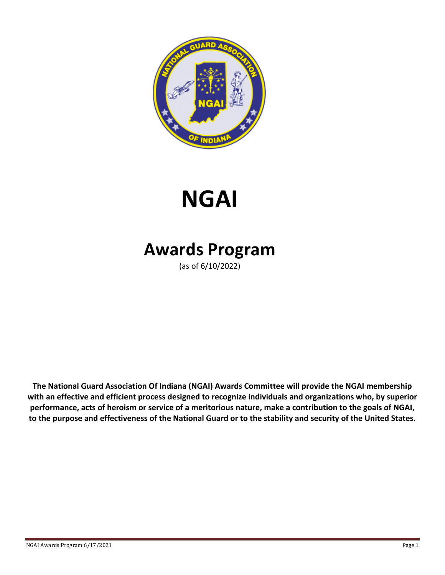

# **NGAI**

## **Awards Program**

(as of 6/10/2022)

**The National Guard Association Of Indiana (NGAI) Awards Committee will provide the NGAI membership with an effective and efficient process designed to recognize individuals and organizations who, by superior performance, acts of heroism or service of a meritorious nature, make a contribution to the goals of NGAI, to the purpose and effectiveness of the National Guard or to the stability and security of the United States.**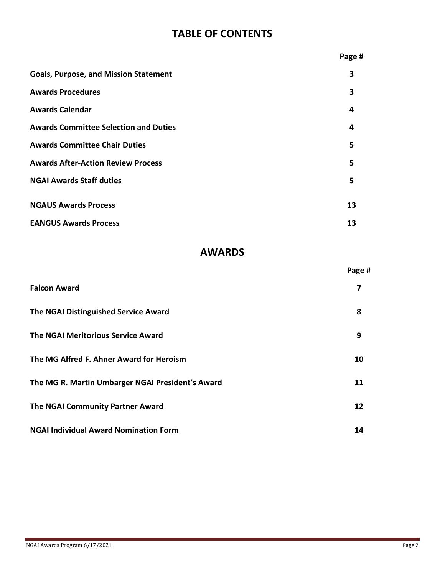## **TABLE OF CONTENTS**

|                                              | Page # |
|----------------------------------------------|--------|
| <b>Goals, Purpose, and Mission Statement</b> | 3      |
| <b>Awards Procedures</b>                     | 3      |
| <b>Awards Calendar</b>                       | 4      |
| <b>Awards Committee Selection and Duties</b> | 4      |
| <b>Awards Committee Chair Duties</b>         | 5      |
| <b>Awards After-Action Review Process</b>    | 5      |
| <b>NGAI Awards Staff duties</b>              | 5      |
| <b>NGAUS Awards Process</b>                  | 13     |
| <b>EANGUS Awards Process</b>                 | 13     |
|                                              |        |

## **AWARDS**

|                                                  | Page # |
|--------------------------------------------------|--------|
| <b>Falcon Award</b>                              | 7      |
| The NGAI Distinguished Service Award             | 8      |
| <b>The NGAI Meritorious Service Award</b>        | 9      |
| The MG Alfred F. Ahner Award for Heroism         | 10     |
| The MG R. Martin Umbarger NGAI President's Award | 11     |
| The NGAI Community Partner Award                 | 12     |
| <b>NGAI Individual Award Nomination Form</b>     | 14     |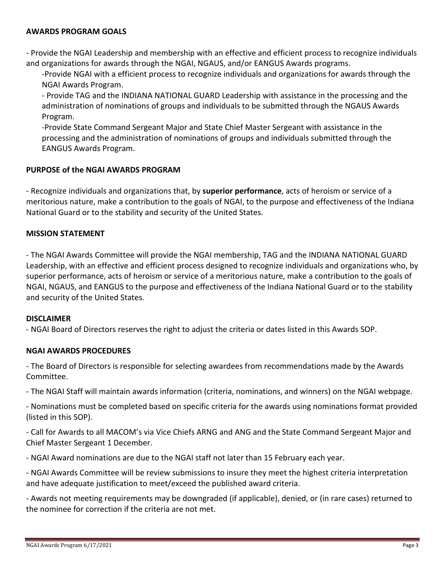#### **AWARDS PROGRAM GOALS**

- Provide the NGAI Leadership and membership with an effective and efficient process to recognize individuals and organizations for awards through the NGAI, NGAUS, and/or EANGUS Awards programs.

-Provide NGAI with a efficient process to recognize individuals and organizations for awards through the NGAI Awards Program.

- Provide TAG and the INDIANA NATIONAL GUARD Leadership with assistance in the processing and the administration of nominations of groups and individuals to be submitted through the NGAUS Awards Program.

-Provide State Command Sergeant Major and State Chief Master Sergeant with assistance in the processing and the administration of nominations of groups and individuals submitted through the EANGUS Awards Program.

#### **PURPOSE of the NGAI AWARDS PROGRAM**

- Recognize individuals and organizations that, by **superior performance**, acts of heroism or service of a meritorious nature, make a contribution to the goals of NGAI, to the purpose and effectiveness of the Indiana National Guard or to the stability and security of the United States.

#### **MISSION STATEMENT**

- The NGAI Awards Committee will provide the NGAI membership, TAG and the INDIANA NATIONAL GUARD Leadership, with an effective and efficient process designed to recognize individuals and organizations who, by superior performance, acts of heroism or service of a meritorious nature, make a contribution to the goals of NGAI, NGAUS, and EANGUS to the purpose and effectiveness of the Indiana National Guard or to the stability and security of the United States.

#### **DISCLAIMER**

- NGAI Board of Directors reserves the right to adjust the criteria or dates listed in this Awards SOP.

#### **NGAI AWARDS PROCEDURES**

- The Board of Directors is responsible for selecting awardees from recommendations made by the Awards Committee.

- The NGAI Staff will maintain awards information (criteria, nominations, and winners) on the NGAI webpage.

- Nominations must be completed based on specific criteria for the awards using nominations format provided (listed in this SOP).

- Call for Awards to all MACOM's via Vice Chiefs ARNG and ANG and the State Command Sergeant Major and Chief Master Sergeant 1 December.

- NGAI Award nominations are due to the NGAI staff not later than 15 February each year.

- NGAI Awards Committee will be review submissions to insure they meet the highest criteria interpretation and have adequate justification to meet/exceed the published award criteria.

- Awards not meeting requirements may be downgraded (if applicable), denied, or (in rare cases) returned to the nominee for correction if the criteria are not met.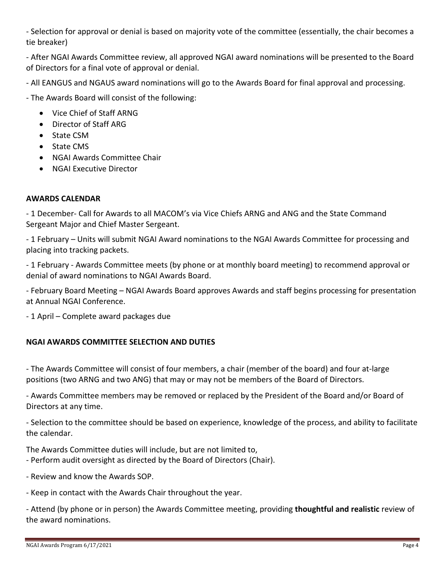- Selection for approval or denial is based on majority vote of the committee (essentially, the chair becomes a tie breaker)

- After NGAI Awards Committee review, all approved NGAI award nominations will be presented to the Board of Directors for a final vote of approval or denial.

- All EANGUS and NGAUS award nominations will go to the Awards Board for final approval and processing.

- The Awards Board will consist of the following:

- Vice Chief of Staff ARNG
- Director of Staff ARG
- State CSM
- State CMS
- NGAI Awards Committee Chair
- NGAI Executive Director

#### **AWARDS CALENDAR**

- 1 December- Call for Awards to all MACOM's via Vice Chiefs ARNG and ANG and the State Command Sergeant Major and Chief Master Sergeant.

- 1 February – Units will submit NGAI Award nominations to the NGAI Awards Committee for processing and placing into tracking packets.

- 1 February - Awards Committee meets (by phone or at monthly board meeting) to recommend approval or denial of award nominations to NGAI Awards Board.

- February Board Meeting – NGAI Awards Board approves Awards and staff begins processing for presentation at Annual NGAI Conference.

- 1 April – Complete award packages due

#### **NGAI AWARDS COMMITTEE SELECTION AND DUTIES**

- The Awards Committee will consist of four members, a chair (member of the board) and four at-large positions (two ARNG and two ANG) that may or may not be members of the Board of Directors.

- Awards Committee members may be removed or replaced by the President of the Board and/or Board of Directors at any time.

- Selection to the committee should be based on experience, knowledge of the process, and ability to facilitate the calendar.

The Awards Committee duties will include, but are not limited to,

- Perform audit oversight as directed by the Board of Directors (Chair).
- Review and know the Awards SOP.
- Keep in contact with the Awards Chair throughout the year.

- Attend (by phone or in person) the Awards Committee meeting, providing **thoughtful and realistic** review of the award nominations.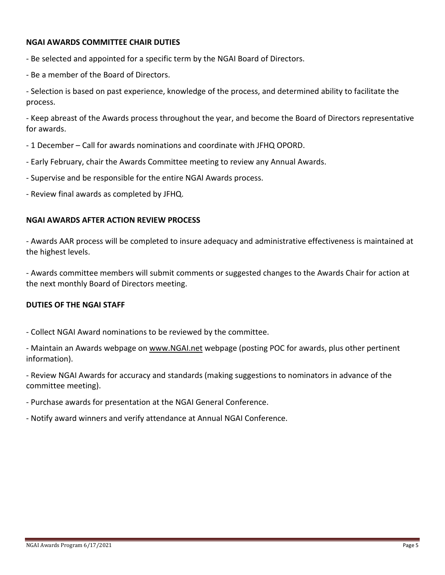#### **NGAI AWARDS COMMITTEE CHAIR DUTIES**

- Be selected and appointed for a specific term by the NGAI Board of Directors.
- Be a member of the Board of Directors.

- Selection is based on past experience, knowledge of the process, and determined ability to facilitate the process.

- Keep abreast of the Awards process throughout the year, and become the Board of Directors representative for awards.

- 1 December Call for awards nominations and coordinate with JFHQ OPORD.
- Early February, chair the Awards Committee meeting to review any Annual Awards.
- Supervise and be responsible for the entire NGAI Awards process.
- Review final awards as completed by JFHQ.

#### **NGAI AWARDS AFTER ACTION REVIEW PROCESS**

- Awards AAR process will be completed to insure adequacy and administrative effectiveness is maintained at the highest levels.

- Awards committee members will submit comments or suggested changes to the Awards Chair for action at the next monthly Board of Directors meeting.

#### **DUTIES OF THE NGAI STAFF**

- Collect NGAI Award nominations to be reviewed by the committee.
- Maintain an Awards webpage on [www.NGAI.net](http://www.ngai.net/) webpage (posting POC for awards, plus other pertinent information).
- Review NGAI Awards for accuracy and standards (making suggestions to nominators in advance of the committee meeting).
- Purchase awards for presentation at the NGAI General Conference.
- Notify award winners and verify attendance at Annual NGAI Conference.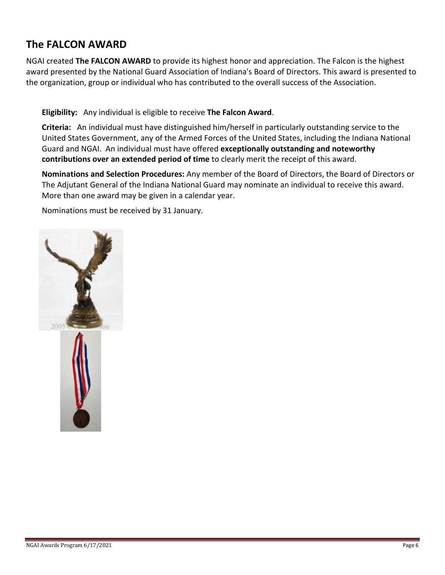## **The FALCON AWARD**

NGAI created **The FALCON AWARD** to provide its highest honor and appreciation. The Falcon is the highest award presented by the National Guard Association of Indiana's Board of Directors. This award is presented to the organization, group or individual who has contributed to the overall success of the Association.

#### **Eligibility:** Any individual is eligible to receive **The Falcon Award**.

**Criteria:** An individual must have distinguished him/herself in particularly outstanding service to the United States Government, any of the Armed Forces of the United States, including the Indiana National Guard and NGAI. An individual must have offered **exceptionally outstanding and noteworthy contributions over an extended period of time** to clearly merit the receipt of this award.

**Nominations and Selection Procedures:** Any member of the Board of Directors, the Board of Directors or The Adjutant General of the Indiana National Guard may nominate an individual to receive this award. More than one award may be given in a calendar year.

Nominations must be received by 31 January.

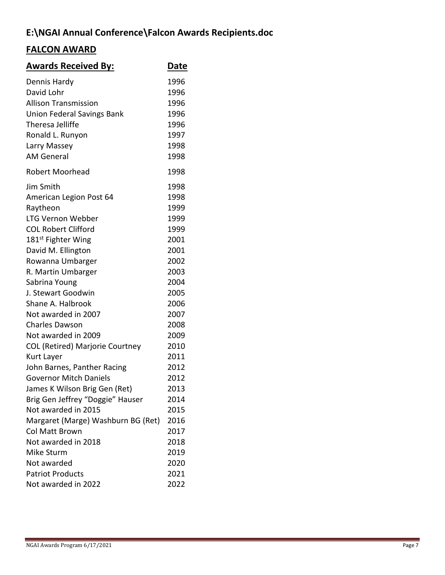## **E:\NGAI Annual Conference\Falcon Awards Recipients.doc**

## **FALCON AWARD**

| <b>Awards Received By:</b>                                | <b>Date</b>          |
|-----------------------------------------------------------|----------------------|
| Dennis Hardy<br>David Lohr<br><b>Allison Transmission</b> | 1996<br>1996<br>1996 |
| <b>Union Federal Savings Bank</b>                         | 1996                 |
| Theresa Jelliffe                                          | 1996                 |
| Ronald L. Runyon                                          | 1997                 |
| Larry Massey                                              | 1998                 |
| <b>AM General</b>                                         | 1998                 |
| <b>Robert Moorhead</b>                                    | 1998                 |
| Jim Smith                                                 | 1998                 |
| American Legion Post 64                                   | 1998                 |
| Raytheon                                                  | 1999                 |
| <b>LTG Vernon Webber</b>                                  | 1999                 |
| <b>COL Robert Clifford</b>                                | 1999                 |
| 181 <sup>st</sup> Fighter Wing                            | 2001                 |
| David M. Ellington                                        | 2001                 |
| Rowanna Umbarger                                          | 2002                 |
| R. Martin Umbarger                                        | 2003                 |
| Sabrina Young                                             | 2004                 |
| J. Stewart Goodwin                                        | 2005                 |
| Shane A. Halbrook                                         | 2006                 |
| Not awarded in 2007                                       | 2007                 |
| <b>Charles Dawson</b>                                     | 2008                 |
| Not awarded in 2009                                       | 2009                 |
| <b>COL (Retired) Marjorie Courtney</b>                    | 2010                 |
| Kurt Layer                                                | 2011                 |
| John Barnes, Panther Racing                               | 2012                 |
| <b>Governor Mitch Daniels</b>                             | 2012                 |
| James K Wilson Brig Gen (Ret)                             | 2013                 |
| Brig Gen Jeffrey "Doggie" Hauser                          | 2014                 |
| Not awarded in 2015                                       | 2015                 |
| Margaret (Marge) Washburn BG (Ret)                        | 2016                 |
| Col Matt Brown                                            | 2017                 |
| Not awarded in 2018                                       | 2018                 |
| Mike Sturm                                                | 2019                 |
| Not awarded                                               | 2020                 |
| <b>Patriot Products</b>                                   | 2021                 |
| Not awarded in 2022                                       | 2022                 |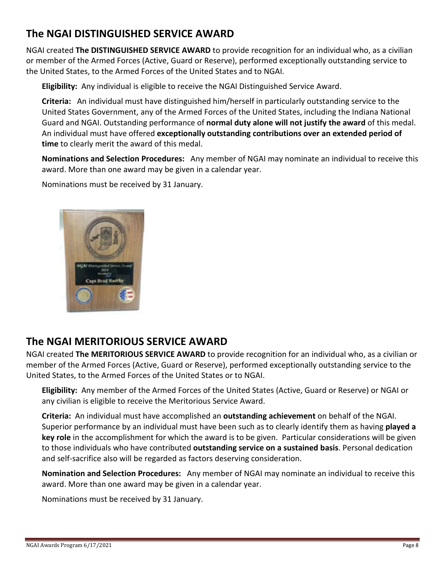## **The NGAI DISTINGUISHED SERVICE AWARD**

NGAI created **The DISTINGUISHED SERVICE AWARD** to provide recognition for an individual who, as a civilian or member of the Armed Forces (Active, Guard or Reserve), performed exceptionally outstanding service to the United States, to the Armed Forces of the United States and to NGAI.

**Eligibility:** Any individual is eligible to receive the NGAI Distinguished Service Award.

**Criteria:** An individual must have distinguished him/herself in particularly outstanding service to the United States Government, any of the Armed Forces of the United States, including the Indiana National Guard and NGAI. Outstanding performance of **normal duty alone will not justify the award** of this medal. An individual must have offered **exceptionally outstanding contributions over an extended period of time** to clearly merit the award of this medal.

**Nominations and Selection Procedures:** Any member of NGAI may nominate an individual to receive this award. More than one award may be given in a calendar year.

Nominations must be received by 31 January.



## **The NGAI MERITORIOUS SERVICE AWARD**

NGAI created **The MERITORIOUS SERVICE AWARD** to provide recognition for an individual who, as a civilian or member of the Armed Forces (Active, Guard or Reserve), performed exceptionally outstanding service to the United States, to the Armed Forces of the United States or to NGAI.

**Eligibility:** Any member of the Armed Forces of the United States (Active, Guard or Reserve) or NGAI or any civilian is eligible to receive the Meritorious Service Award.

**Criteria:** An individual must have accomplished an **outstanding achievement** on behalf of the NGAI. Superior performance by an individual must have been such as to clearly identify them as having **played a key role** in the accomplishment for which the award is to be given. Particular considerations will be given to those individuals who have contributed **outstanding service on a sustained basis**. Personal dedication and self-sacrifice also will be regarded as factors deserving consideration.

**Nomination and Selection Procedures:** Any member of NGAI may nominate an individual to receive this award. More than one award may be given in a calendar year.

Nominations must be received by 31 January.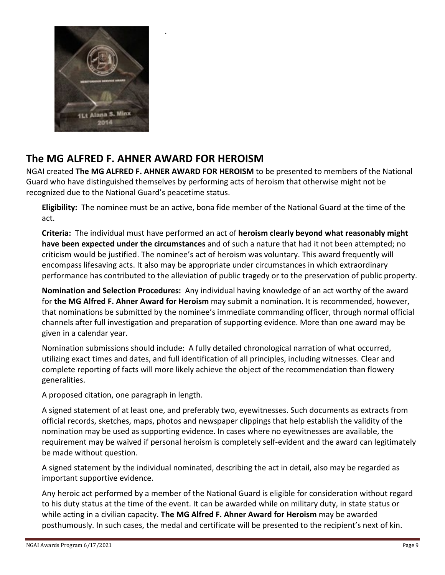

## **The MG ALFRED F. AHNER AWARD FOR HEROISM**

.

NGAI created **The MG ALFRED F. AHNER AWARD FOR HEROISM** to be presented to members of the National Guard who have distinguished themselves by performing acts of heroism that otherwise might not be recognized due to the National Guard's peacetime status.

**Eligibility:** The nominee must be an active, bona fide member of the National Guard at the time of the act.

**Criteria:** The individual must have performed an act of **heroism clearly beyond what reasonably might have been expected under the circumstances** and of such a nature that had it not been attempted; no criticism would be justified. The nominee's act of heroism was voluntary. This award frequently will encompass lifesaving acts. It also may be appropriate under circumstances in which extraordinary performance has contributed to the alleviation of public tragedy or to the preservation of public property.

**Nomination and Selection Procedures:** Any individual having knowledge of an act worthy of the award for **the MG Alfred F. Ahner Award for Heroism** may submit a nomination. It is recommended, however, that nominations be submitted by the nominee's immediate commanding officer, through normal official channels after full investigation and preparation of supporting evidence. More than one award may be given in a calendar year.

Nomination submissions should include: A fully detailed chronological narration of what occurred, utilizing exact times and dates, and full identification of all principles, including witnesses. Clear and complete reporting of facts will more likely achieve the object of the recommendation than flowery generalities.

A proposed citation, one paragraph in length.

A signed statement of at least one, and preferably two, eyewitnesses. Such documents as extracts from official records, sketches, maps, photos and newspaper clippings that help establish the validity of the nomination may be used as supporting evidence. In cases where no eyewitnesses are available, the requirement may be waived if personal heroism is completely self-evident and the award can legitimately be made without question.

A signed statement by the individual nominated, describing the act in detail, also may be regarded as important supportive evidence.

Any heroic act performed by a member of the National Guard is eligible for consideration without regard to his duty status at the time of the event. It can be awarded while on military duty, in state status or while acting in a civilian capacity. **The MG Alfred F. Ahner Award for Heroism** may be awarded posthumously. In such cases, the medal and certificate will be presented to the recipient's next of kin.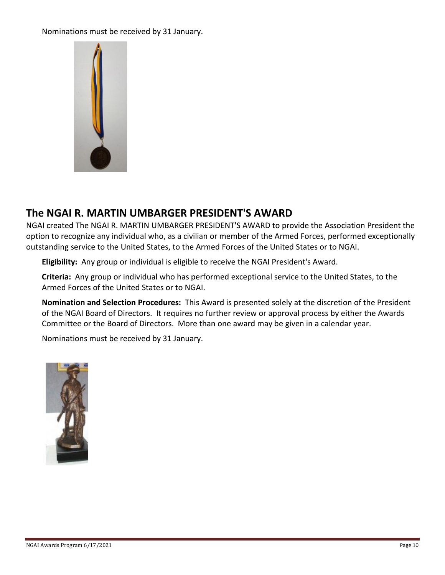#### Nominations must be received by 31 January.



## **The NGAI R. MARTIN UMBARGER PRESIDENT'S AWARD**

NGAI created The NGAI R. MARTIN UMBARGER PRESIDENT'S AWARD to provide the Association President the option to recognize any individual who, as a civilian or member of the Armed Forces, performed exceptionally outstanding service to the United States, to the Armed Forces of the United States or to NGAI.

**Eligibility:** Any group or individual is eligible to receive the NGAI President's Award.

**Criteria:** Any group or individual who has performed exceptional service to the United States, to the Armed Forces of the United States or to NGAI.

**Nomination and Selection Procedures:** This Award is presented solely at the discretion of the President of the NGAI Board of Directors. It requires no further review or approval process by either the Awards Committee or the Board of Directors. More than one award may be given in a calendar year.

Nominations must be received by 31 January.

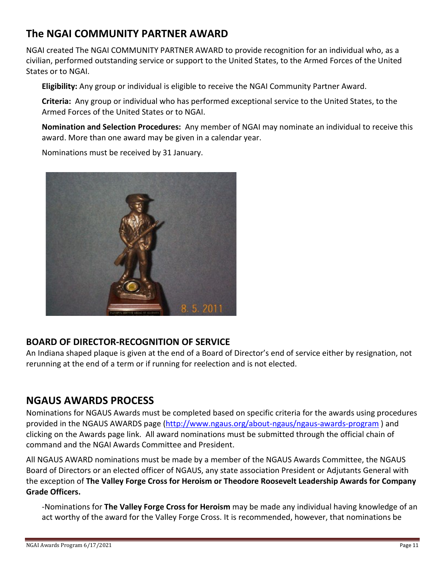## **The NGAI COMMUNITY PARTNER AWARD**

NGAI created The NGAI COMMUNITY PARTNER AWARD to provide recognition for an individual who, as a civilian, performed outstanding service or support to the United States, to the Armed Forces of the United States or to NGAI.

**Eligibility:** Any group or individual is eligible to receive the NGAI Community Partner Award.

**Criteria:** Any group or individual who has performed exceptional service to the United States, to the Armed Forces of the United States or to NGAI.

**Nomination and Selection Procedures:** Any member of NGAI may nominate an individual to receive this award. More than one award may be given in a calendar year.

Nominations must be received by 31 January.



### **BOARD OF DIRECTOR-RECOGNITION OF SERVICE**

An Indiana shaped plaque is given at the end of a Board of Director's end of service either by resignation, not rerunning at the end of a term or if running for reelection and is not elected.

## **NGAUS AWARDS PROCESS**

Nominations for NGAUS Awards must be completed based on specific criteria for the awards using procedures provided in the NGAUS AWARDS page [\(http://www.ngaus.org/about-ngaus/ngaus-awards-program](http://www.ngaus.org/about-ngaus/ngaus-awards-program)) and clicking on the Awards page link. All award nominations must be submitted through the official chain of command and the NGAI Awards Committee and President.

All NGAUS AWARD nominations must be made by a member of the NGAUS Awards Committee, the NGAUS Board of Directors or an elected officer of NGAUS, any state association President or Adjutants General with the exception of **The Valley Forge Cross for Heroism or Theodore Roosevelt Leadership Awards for Company Grade Officers.**

-Nominations for **The Valley Forge Cross for Heroism** may be made any individual having knowledge of an act worthy of the award for the Valley Forge Cross. It is recommended, however, that nominations be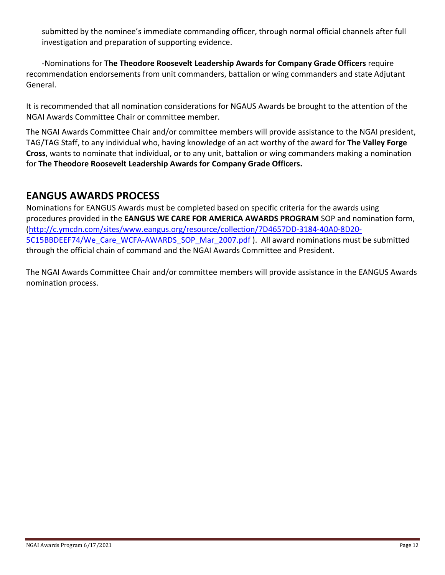submitted by the nominee's immediate commanding officer, through normal official channels after full investigation and preparation of supporting evidence.

-Nominations for **The Theodore Roosevelt Leadership Awards for Company Grade Officers** require recommendation endorsements from unit commanders, battalion or wing commanders and state Adjutant General.

It is recommended that all nomination considerations for NGAUS Awards be brought to the attention of the NGAI Awards Committee Chair or committee member.

The NGAI Awards Committee Chair and/or committee members will provide assistance to the NGAI president, TAG/TAG Staff, to any individual who, having knowledge of an act worthy of the award for **The Valley Forge Cross**, wants to nominate that individual, or to any unit, battalion or wing commanders making a nomination for **The Theodore Roosevelt Leadership Awards for Company Grade Officers.**

## **EANGUS AWARDS PROCESS**

Nominations for EANGUS Awards must be completed based on specific criteria for the awards using procedures provided in the **EANGUS WE CARE FOR AMERICA AWARDS PROGRAM** SOP and nomination form, [\(http://c.ymcdn.com/sites/www.eangus.org/resource/collection/7D4657DD-3184-40A0-8D20-](http://c.ymcdn.com/sites/www.eangus.org/resource/collection/7D4657DD-3184-40A0-8D20-5C15BBDEEF74/We_Care_WCFA-AWARDS_SOP_Mar_2007.pdf) [5C15BBDEEF74/We\\_Care\\_WCFA-AWARDS\\_SOP\\_Mar\\_2007.pdf](http://c.ymcdn.com/sites/www.eangus.org/resource/collection/7D4657DD-3184-40A0-8D20-5C15BBDEEF74/We_Care_WCFA-AWARDS_SOP_Mar_2007.pdf) ). All award nominations must be submitted through the official chain of command and the NGAI Awards Committee and President.

The NGAI Awards Committee Chair and/or committee members will provide assistance in the EANGUS Awards nomination process.